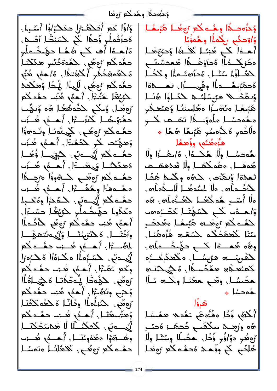وَ}وُّ كَحِرٍ أَصْحَكَ زَرَا حَكَمَ؟وَّا أَسْرِلَ. ەْحاڭملىر ۆككا كى خشىشا آئىج. ة/هـدُا أَف كُلّ هُهُـا حَهَّىشُـدلُر حَقَّه كُمْ رُوهُمْ. ۚ كَعَّةْدُنُسْ هَكَنْكُمْ أَ<br>هُ كَعَفْةْدَهُرِ أَكْتُهُتَمُّا. ۪ هُ/حَفَّى هُنَّى حَقُّه كُمْ رِّوهُمْ. لَلَّيْزَا يُحُلُّ وَهَكُفُكُمْ كْرْبْقْدْ هَٰذْسْرَا. أَحْدُرٍ هُذَب حَقْدَكُم رُوهُا. وُحكَّمَ حَدُّهُهُمَا هُو وَيَهُـــز دَفَرْوَحَفْ) كَتَرَبَّانَ أَحْدَى هُدَّب حمُّـه كُم رِّوهُــم. ۖ كَهِنَّهُ لَــا وِنُــهِ وَأَوْا وَهِكْتُتْ لَكُو لِكَعْشَرَاءِ أَلْعَمُهِ هُـَأَت حمُّدهُ لَيُسْمَعُ. حَيْنَ الْمُغْسَلِ حمَّــه كُم رُوهُـــم كــــوْووْاْ وَرَحـــدًا معْــودُا وِحَفَـــٰٓا ۚ. أَحــهُ هُــزب حمُّـه كُم أَيُّـهَـنَ لِكَمَحْ إِوَّكْــبِهِ ەڭدۇما جۇنگەلر جۇڭ جىنىشل أَهِمُ هُزِمٍ حَقْدَكُمْ رُوهُمْ كَارْضُمَاً وَاكْتْبِ }. هَ حَتَّتِهِمْنَـــا وَإِنَّــهِ مَتَّتَّعِهِ ۖــا لمؤسسيًّا. أُهْسُهُم هُـــز، حَهْــه كُمْ لَّهُكُمْ أَأَهْبَكُمْ أَلْمَدْكُمْ . فَكَرْهُ أَ وكُم تَكْتَرَا. أَحْدُ لَا تَدْ حَقَّدْكُمْ رَّوهُمْ جَمْعَةً وَأَمْرَضُ اخْفَاهُ الْمَحْمَدَةُ الْمَالَةُ الْمَسْتَمَاتُ الْمَالَةُ وَجْدَبِ وِنَهُ شَرَّا. أَحْمُهِ هُنِ حَقَّه لَكُم رُوهُم . حَدْنُومُا وَدَٰاتُ وَحَفْدَتَكُمْ الْمَحْمَدَ وَهتَممعُنْا. أَحمهُ هُـزب حصَّـه كُم ﴾ هو مَ تَحْمَدُ الْهُ هُمْمَتْكُمْ الْمَسْتَحَمَّلُ الْمَسْتَحَمَّلُ الْمَسْتَخَمَّلُ الْمَسْتَخْمَ وهُـــةَوْا هِ هَذُوعُنْــا . أحمــهُ و هُـــزم حمُّـه كُم رُوهُــم. ݣَلْحُلْلُــا ونُمنْــا

وَحَدُّه كَمَلَّا وَحَدَّكُمْ وَوَهُمَا كَيُحَمَّلَ |وُاوْحِكُمْ رِيُّدْءُاْ وِحُوَوُّءُاْ أَحدًا كُلِّ هُنَّا كُلُّهُ وَحَرَّةِهْا ەخزىكشەل ەدرومىگا ھېمىشىت لِحَقَّاؤُ لِمَتْسَلَ وَحَرُهُ وَاللَّهُ وَكَحُسَلَ هُجِمَّتُو الْمُسْبَدِّلِ. تَمْسَجَةَ ا وَمَعْصًـــا حَمِّيسُاسُــمْ لِكَــٰاوُا هُـُــا هَّبُـمُـا مَنْهُــُزَا مَعَامِينُـا وَهِنْعِــدُبِ معْدمسُل مأموِّسكُا نَتْفَلُّفْ لَحْسِرٍ ەللۇھىر كەڭدىئىر ھۇمگا ھىلى ئە فأوقُدُه ووُهمُا هُدَهَــا ولَا هَكَــدًا. هُ ُ عُكْرَا وِلَا هُدفَــا. وهُدكْهُــا وِلًا مْدْهِقْــم تعلاةا وُبِعَّتِ . حَيْهُ وَكَيْمٌ هُجُلْ لْجَنُّــه أَلَّهَ . هِ لَّا الْمُدَهُــا لَّاــــدُّه أَنَّه . ولُا أُسْبِ هُوكُعُما كَعُنُوْهُ وَ وَهُ وَ وَأَلْمَـدًى كُلُّمْ لِكُمُّوَّتْمَا كُذَّــرَهِ وهو ا لمشوكع ووقده هؤكا ومدخم مّثْل كْعفَكُك حْسَفْه فُنُوهُمْا. وِقُو هُـمـــةا كُلــــو حَهُــدُـــداُهِ. لِكَفْرِيْتِ ۞ فَرَّمِيْنَــا ِ. ۞ كَعْذَرِكْتَرُهُ كمئعدَّه مَعَصَدًا. هَنْ كَشَدُه هَشَسًا. وِتَبِ هِكْنَا وِكْلُهِ سَأَا هُ الْمُعَامِنُ اللَّهِ أَكْلَى وَّدًا وَفُزُوهُمْ تَمُّويْهُ هَمْشَا ، وُرْهِـــدْ مىڭگىـــ كَـحَكَــۃ ەُحمّــۃِ أَرُوهُرِ وَذَارُرٍ وَّدًا. ۚ هَـصَـُـُا وِمَتْنَـا وِلًا هُائُم کُمْ وَوُحِكَ هَجِعُوكُمْ رُوهُا.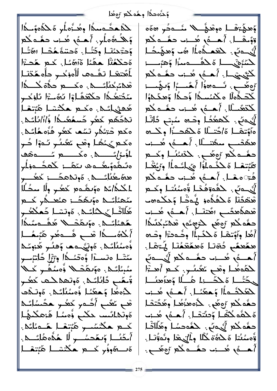للْمُعشَّمِيثُمْ وِهُـزُولُرِ وَلِكُووَىٰـدُا وَجْلَا وَهُ مِلْرٍ. أَحْسَبُ هُــزَب حَخْــهِ كُـْع وَحِتَىحِيْسًا وِحَتُـاً. ۚ هَحتِيفٌ هُجْـا لِهَتُـا هُدَكْمُتْلَ هَفَـُل هَٰٓاهُ دُـل ٖ كَـم هَدَـتْزَلَ لَمُتعْد لَقُـــه لِلْأُوزِكْـــرِ حلُّه هَٰـتَنْــا هْدْمُرْدُىْلْتُـــدْ. ەڭــــــــــــــــــــدْا كْـــــدْا مَكْتَعُـدًا حَكْقَدًاوْا نَهُ ــْٓا نَاوْحُــو هُدئي لَمَدْ. هکـم هگنشـا هَبَتهْـا تَدَخَّعُم كَعُدٍ خَسْفُعُنَّدُا وُٱٱٱتُلْتَدَ. ەڭتە دېئگىر تىئى كىغىر قۇەھلئىد. مكبع كمنصا وثب محكمت سووا ك ەئىۋۇمۇسەھ يۆھىز كىھچىدۇلم ھھَىعُىُلْسُـــدْ. ەُولىدىكــــز كعُـــــــر لمُكْمُلُكُمْ وَوُبِعْيَامِ كَعُبِ وِلَا سِجُلَلاَ مَّھْلاَسُـــا ەۆتھَكَـــز ھئعــــاُن كَــــع هَٰلَاتْبِلِيكَائِيكِ. هُوِيْسَا جُمكْهُبِ هُهنائِكِ. هَوۡتَمَكُـــا هُهُـــمَنۡدُا أَحْدُمُـــدًا قَـــو هُـــومُر هَبُــهُـــا ؤْەممُلُكُمْ. ەُوڭگەھە ۋَقْلُو ھُزوكُم مّثلًا هسْسْأَا وُهْتَمُكُمْا وِرْزَلِ هُاتِبْسِر سُبِئَائِكِ. ەۆتككىلا ۋەسُفُـر كَــلا تَّىمَّى دَّائائـُـدْ. ەُوتىھدىكى كىخىر ِكْرُوهُا وَحِعَ*كُنَ*ا وُوسُ*نُاتُ*؟. وُوِنَـٰدُه قب مَعَٓب أَحْسَر مُعَصِّرِ حَصَّمَاسُـٰهِ ەُولىدالىُسى بىڭىم ۋەبمُىل ھُزىڭلىھُىل ك مستنسَّب مُتَسَلَّمَ مَنْ الْمُسْمَعَ أَحَنُــا وَبِمَحِيَـــو لَا جُذُوهَائـــد. ەسسە بۇرىك ھىكىشلى كېتىشل

وَهِيَّتِهْا مِوْهُيَّى شَـومُو 200 وَوُصْفَـا. أَحْسَمُ هُــزت حَقَّــه كُمْ ﴾ هَنَّ جَا مَعْ الْمَاهُ اللَّهُ عَلَيْهِ الْمَسْتَمَرُوا مِنْ لْكَتَبُوْقَ لَمَا هَكُفٌ وَمِنَا وَحَبَّمَ : كَتَهُكُمْ أَسْتُمْ بِهُمْ أَسْتَ الْمَسْتَمَرَّةَ مِنْ الْمَسْتَمَرَّةَ مِنْ الْمَسْتَمَرَّةَ مِنْ رُوهُبِ . تُـــوهُواْ أَـمَّــــرًا وَّلَـهُـــــزَ لْكَتْحُوْلَا وِكْسُبْدًا وَْحِدًا وَهِكُمْوَا كَتْعَبْ الْمْرِيمُ وَهُدْ حَقَّدْ مَحْرَمَ أَيُّدَنَّى. كَلْعَعُدُاْ وِتَّـدَّه مُّبِنَى دَّاتْلَ وَأَوْتِيْهِ إِلَى أَنْ تَسْأَلَا وَجَدْهُمْ وَأَوْتَيْهِمْ وَالْحَسَنَةُ وَالْحَسَنَةُ وَالْحَسَنَة معَهْقَمَـــمِ معَهْنَــُلَّا. أَحْـــهُ هُـــزم حَقَّـٰه كُمْ رُوهُـــم. كَتَبْتُنُـا وِكَـــمْ تَكَبَّتُهُا هَكْدُهِ أَوْلَ مَيْلَتُهِ أَلْهُمْ وَرَبِّعْتُهُمْ الْمُؤْتَّلَةِ فُتٖٯۿا. أُهـهُ هُـن حقّـهكُم لَّكِ وَمَنْ جَمْعَةٍ وَهُخْمَلٍ وَّوْمِمُتُمَا وَجُمْعِ مْتّْعَدُلْا هُ حَفُذُهِ ۚ يُوَخُـلْ مُحِكَّدِهِ بِ هْتّْعَكّْمَعْصُبِ امّْتَتْسَا. أُحْسَمُ هُــزَب حَقُّه كُمْ رَوْهَمْ ۖ كَتْرَوْشُو ۚ قَلَامٌ مُكْتَبِكُلُّمُ ۚ [ أَهُا وَأَوَّتِهَا فَكَذَّبِٱ وَدَّءَتَوْا وِدْهِ همّعمّى دُةتا هُهمّعْهُنَا لِمُبْهَا. أهسهُ هُــزب حقَــه كُمْ إِنَّــه مَ لمَفْعِفُهِ وَهُمْ يَعْبُسُو. كُمْ أَهْتُرَا حَسُّا هَكْخُصِنَا هُكُمْ وَاسْتُصْرِ لْكَلِّدُ وَلَمْ إِنْهُمْ مِنْكُمْ لَمْ هُوَ مُوْ وَلَمْ يَوْمِيْنَ مِنْ حمُّه كُم رُوهُم . ۖ حُزُوهُ وَهُدُّ وَهُدُّتَهُا ۖ هَ حَقَّه كُثْفَا ۖ وَمَتَنْفَا ۖ أَحْسَمُ ۖ هُــزت حَقَّهَ كُلَّمَ إِنَّهُ مِنْهُمٍ فَيَاتِ اللَّهَ وَهَذَا تَقْلَلْهُ ا وَّْوَمِمُتُنَا ۚ وَكَلاً وَعَلَىٰ إِلَيْهَا ۚ وِتُوَتُوْنَـا ۖ. أهسهُ هُـــز حفَـــه كُمْ رُوهُــــع.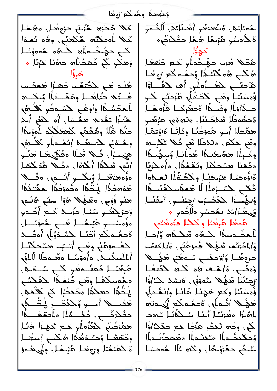كْلًا هُجْرَه هُنَّبٌ حرِّهِهُا. هِهُمُا لملا لمُوحُلُتُه هَنْكُعْبٌ. وِهُو نَعْدًا كُم حهُنصُـٰه/ مدْهُه هُهوءُۭنُـا وُهڭو كُمْ كُهكُنْلُه دەُنُا كْبُنُا ﴾ هُنُه هُم لأَثْتَمُت دْهِـزًا هُمَدِّس فُسَرَٰى حُرَٰاهُمْ وِهْقَسْهُ أَلْهَ مِنْكُسُو أحتَسُدُا وأوهُم حَسَّدتُو كَلَّـرَهُ ۖ هَٰٓئِمَا تَعۡدَى هِمۡمَسُلَ أَهٖ لَحَمِّي أَبَد حتُه مَّاا وهُقمُ كَععَكْكُم لُموَّىمُا وهُــتهُم لِدْمِعكَــمِ إِنْـهُــملُو كَلَـــقَهِ هِجُمِيَّا الْمُعَلَّاةُ مِنْ الْمَعْدَةِ الْمَجْمَعِيَّةِ الْمَعْلَى أَنَّهِ مَكْمًا أَكْمَٰاً. مثَّىلاً هُـُمَكْمَـلَ ەۋەھتۇھىل ۇيڭىس (ئىسىم . ەئىسلا هَٰذَهُا هُـتُـٰهُا هخُمَّةُ هُـلُّهُ هَـفَـُدُهُا هْلُو وُوْبٍ. ەھْدُمُّ لَهُوْا مِثْبٍ لَهُنَّمَ وَحَرَجَهُــو مَنْــا حَزَـــه كَـــع أَحَـــوو ەۋەمئىسر ھۇمگىل ھىس جُەۋئىسل. ەَحمَّــەڭم ٱتىنىل خشــتەرُلُّى ٱوصَّـــد أَلْمَلْمُسَكَّفٍ وَأُوْمُسًا وَهُسُوطًا لِّلْمُؤَنَّ مَٰٓہِمُنَـٰـا حَٰڡۡنُـٰہِمُو کَبِ مَـٰـمَۡہٗہِ. معُمسكُفًا ومْع ثُنمُكُا لِكُلْسُمْ لِمُتُمُا حقْلَهُا مَحْدَّزًا كَلِي كَلِاْهِمْ. هَمَّــــلا أَـــــر وَحْكَشَـــر هُـتَـــكَى حثَك(كُـــــى). حُكْـــــهُ/ًا مأَنقفُــــــهُ/ ههَ;حٌمّ لِمَعْزُولُو كُلُّو كُلُّواْ هُنَا ودْتَعْعْدا وَحَمْـةْهُدًا هُكْبٍ إِسْتُرْسَا هَ حَقَّتُهُمْ وَوَوَهُ لَـهُمْ مِنْ مِنْ مِنْ مَدَّةٍ

هَٰهۦُالُک فَ وَالزَهزوهُ بِ أَهُمِنُالَک الْقَلِمِ وَ ەَ دەمىر ھَبْسا ھُمَّا حثَكْلُوْ \* تحلمأا هُصْلا هُنِ حهُمْهُم ُر حُمْ حُقْعًا هُكُبِ هُوكُنُنُكُمْ وَحَقَّوكُمْ وَوَهُمَا هَّرْحَسُـــع لِلْحَقُـــزُه أَمِن. أَهــ حَدَّـــاوَّا وُّەمىُسُّا وِھْمِ كَكُنُّهُ هُوَىَّى كُـر حَــدًّاوْلُمْ وَكَــدًا هُجِعْدِكَــا فُزُهِ هُــأَ ەُحھُّەئىُّا شەڭمى*نىُّا. د*ىھەُەر ھېھُىر ههَٰحاُا أُ؎ هُەوْحُىُـٰا وٖدُاتْـا ەۡاوُٓتھۤـا وقع حُكْم. وتَمْطُلُ قَع خُلا عَكْرَتُ |وِكْبِلَا هِمَّمْعَلَـدًا هَٰدَلَّلًا وَمِيْمَـدًا وَدَّهِنَا هِمَنحِكْنَا وِنَقَعُدًا. وأَوْكَرْبَا هَاؤُهِحِمُـلِ مِحْمِحُمُـلِ وِكْحُــٰٓةُ لَمَّا تَـمَــٰاءَةَ ا ثَكَــع لكَــرُّه أَا أَا شَعفُسكَفُنَّــدُّا وَّىهُـــُّ;ْا ۖ ـحْدُّــَــُۭف ۚ وَجِئْنُـــوِ ﴾ أَمكَنُــا يُهثَّدُّاْمٌ بِمُحَمَّدٍ هِالْأَشْمِرِ \* هُوهُا هُبِهُمُا وِكْلِكَا فِنُوهُكُمْ أهدً وسمًا للعدة وتحلُّمه وَادًا وْٱلْمَحْرَبُّى مْدَيْنَا ۖ فُوهُبُّ. وْٱلْمَكْتُف دَوْهِ الْعَامَ وَالْقَصَاحِ حَدْمَتَهِ هُوَ اللَّهُ وَّەضُمْ ﴾ ، هُ/ْ هَـدْ هُه كُـدْ للصَّلَّا أَرْجِئْتُا هُدُوْلًا مُنُوفُونَ وَيَسْلَمْ حَيَارُواْ وْْمِمُنُنَا وِكُمْ هُمْنَا هَانًا وَٱنْغُمْلَ هُدَّمٌ الْأَحَلَّٰہِ. هُحصَّـٰه لَكُمْ أَيُّـِـدَتَه لمؤْمَرُا وهُزْنُمَا أَمِنُا مِّمْلِكُمُنَا مُّوم كُلِّي. وِحْمَ تَحْصُرِ هَزُهُا كُعِرِ حَكَمٌ}وُّا وَحكْدَشُــه/ا مَحْنُــه/ا معُــعْجَزْنُــم/ا سَّىتُمْ حَقَّزَةٍ فَعَالَ وَكَلَّهُ عَلَّا الْمُوصِبَةِ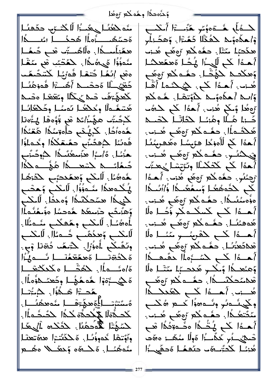مُدَهَمَنَا الْمَشْرِ الْمُدَوَّلِ الْمَدَّمَةِ مِنْهَمَّةٍ مِنْهَمَّةٍ مِنْهَا مَنْهَا مَنْهَا مَنْ هُحمِّشُفَّ أَوْماُ هُجِدُ لِ سُجَّا الْمُسَجَّا همَّ: أَمــدًا . هلَّاهُـــتُ تَعــم تُـمـُــل مُعَوَّزًا يَ هُمَا الْمَحْمَدِ هُم مَقْل ەھْم إِنْعُـٰا ثُنَـْمَـٰا فُـٰهُ وَٰـٰا كَتُنصَّـٰفُ كَعْكِيسًا وَحصْبِهِ أَهُسَنَّا فُوهَنُسَا كمدةَ التَّقَيْبُ الْمُتَرَّكِمَتْ مِثْتَهَا مُحْمَد هُتِيفُولًا وحُكْفُ لِمَسْا وَحُكْفَائِيا **ێڔؿٮؘڹ؞ڡڮٞٮؙ**ؘٲؠؙػۿۿؠٷ۫ۘۅ۪۫ٞڡڟٛ؋ڿٞڡڷٳ هُوواُهُا. كَانُ كَمْ دَاوْسُمَّا هَٰقْنُمَّا فُمنُا جُعثَنَى حمٌمَكُمُّا وِكُـماؤُا هزُمَا. ةَاسِرًا هَزَمعكَنَدُا كَرْوِجُنَّب حُمهُكُم حَسْعَمُ الْهُهُـــــهِ حَكَّا هُەهُمُّا. لَّاسْكُم وُهمُددَمِّى حَدَّمُوْا يُكُدمكُم مُنْدَوُوَّا. لَامْكَبْ وَحَصَب ِكْنِيْجًا مِنْحَكْتُمًا وُمِحْتًا. لَ*أَسْ*كَبِ وُهْنُمُّم حَنْمَعُكُمْ هُوَجِئْنَا وَزُنْقُلُهُ أَ ـلْمِمُـٰـلِ. لَلْـنْكــبِ وِـمَّـفَكْـبِ مُنْــمَنُّلِ. لَّاسْبِ وَهِدُهُمْبِ شَـهِنْلَ لَّاسْمَبِ وِنَـقَـنَكُم لِمُوْزَلِ. ۚ خَتَّىـمًا ۖ دَقَائِلَ ۚ وَبِي. ەَ ݣُدُونْــــا ەَھمَعْمَقْـــا ئَـــەيُّا ة/ەئىسمال. حۇش ما ەڭخەنشىسا هُ جُي زَوْرًا هُوهُهُمْ لِ وِحُعِبُ هُؤُواْلِ. ِ هَدِ ٓ;ٓا هُ جُوَّا ٖ. جِنْ تُبَا هُ حَمَّتَهُ ٓــــالْمِهِ ۡعَذِهَـــا ۖ حَمْدَهُ نُـــا . كْحِدّْةَلَا جُحُحَدُّة كُدًا ۖ حَحَدَّء اُل ِ. لْمَهْتَا ۚ ٱلْمُحَمَّعُ النَّهَدَاءِ ۖ إِنَّهُمْ النَّهَمَّاتِ وِأَوَّتِهْل جُدووُنُـل. هَ حَكْنُتـْ العَدْهَ تَعْنَـل مُعْصَلًا. هُكْمُهُ وُحِكْكُمْ وَهُــمْ

لِمَسْمَاكُمْ هُـتَوْوُمُو هُنُوَــَٰٓٓا ٱمْكَـــِـِّ وْاهِدُهِ حَدَّثَا كَعُبْرا وَهِدَاءُ هدَّدَبِمْ مَتْلَ. حَقَّدَكُمْ رُوهَٰبِ هُـزَب أَحدَهُ! كَبِ لَلِيءُ! هُكُداً هُعتَمَعَتَدَا<br>وَمَكَنَّتِ حَدُّثَتَ الْمَحْسَنَ وَمَنَّعَ هُدن. أَههُ لكح، حَكِيمًا أَقْل وَّاسِمْ أَحْذُهُ وَسَمْ لِأَوْتِهْا. خُدْمُ |توهُدا وُلِّكُمْ هُذا لِهُ اللَّا كُمْ لَاهُمْ كُــزا هُــلًا وهُزئــل حدَّاتْــلْ حدْســح هَٰٓدُهُما!. حمُّـه كُم رُوهُــم هُــزم. أَهِمًا ﴾ لَأَوذِكا هِجَمِنًا وَهَدِمِنُكَمْ في حَمْدُ بِ حَمَّدَ حَمَّد رَوْهُ بِ هُــزَ . أستصر لمتتقا وتؤتيشها المعدأ أَرْحِنُسُ. هَدَهُ كُمْ رُوهُمْ هُنِ أَهْدًا كُم كَدُّدْهُهُمَا وَسَعْفُتُكُمَّا وُٱٱنْتَخَا ەۋەمئىنىڭا. ھىقمىگىر ئوقىي قىزمى. أَمْمَا كُبِ كَسْكُمْكُو وَّحُسًا هَلَّا هُدفسُلَ. تَعْدَدُهِ رُوهُبُ هُــزَبَ. أَهْلُمُ الْمُسْلِمِينَ مِنْكُمْ لَمْ الْمُسَلَّمَ  $\big[$ مْدَكْتُرُنَـا. حَمْـه كُمْ رُومَـٰحِ مُــٰزَى أهــــهُ| كُلّـــع حَمَّــــرُه أَمَّــهُ حَقَّــهِـــمَّا وُهِبُعِيجًا وُيكْبِ هُجِجِيًا مَتْتَبَا هَلَا قُدْمَدْدَكْتُنْدُا. حَقَّدْ دَهْر رُومَكِي هُــزم، أَحــهُ الحَبِ لهَعْمَلَــهُ ا وكَحِيشُوبُو وِشُوهُوْاً كُنْتُمْ هُكْتُمْ مَكْتَعُدُا. حَقَّدَكُمْ رُومَكِمْ هُــزَمْ. أَحْدًا كُلِّ هُتُّكُلُّ وَشَّوَفُكُلُّ قَبْ تَعْمَىٰ اللَّهِ كَلَّا اللَّهُ وَاللَّا مُفَعَّــزٍ وَوَافً هُزئا لَكَتَنِـهَــ مَنْعَمُـا هُمَهُـَّـْ أَ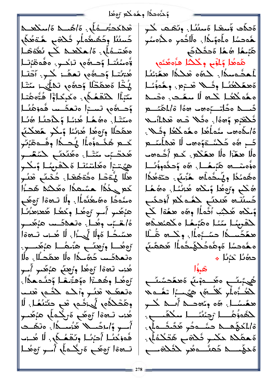هْلِكُحْتُ هُلُو. هُ/هُمِيلِ هُ/مَكْلَاتِ كُسْنُا وكُمُعَثُماُر ثُلاهَى هُـُقَفَٰلًا ەھتىشەڭم. ة/ھىكىدى كى ئىغ قا وُّەمْىُشَا وُھَــوُّە ئۇنگــو. ەقُەقبُرْسَا هُتِئْسًا وَْحِيهُمْ نَعِفَّ: كُبْرٍ. أَخْسًا لْمَثْلُ هُمْكُنْتُلُا وُحَدُّه، تَمْلَيْ: مَثْلُ مَّتِبْلًا ۖ حَنَّفَهُ ۖ بِي مَحْرِبُدَارٍّۚ ۖ فُتُوهُنَا ۖ وِّحـــوهُ) تَســـرًا وتَعصَّــب فُوهُنُــا ەمنتْلْ. ەھْھْل ھُزْسُلْ وَكَلَّاصُلْ ھُنْل ههَجُلًا وَرُوهُا هُزْسُا وُحكُو هُعكُنَّ كُدِ هُذُوؤُو الْمُحَــدا وِفْـوة بْنُر ھُدتہِ۔ مُتْل ہوَمُکٹی کمُگِب ههُتَمْ مَعَاسَّنَا مَكْفَوِهُا وَكُلُو هِلَا هُتَوْصًا هِ ثَقفُعْمَا. خُدْمَـُم هُنُـر أَمْصِفْ لَمُسْكَمُه الْمُصَشْعَ الْمُفْرِ هِمْ مِنْعَجًا وَهَيْعُنُمَاًا. وِلَا تَــْ9َةَا رُوهُم هَبُهُـبِ أَــبِ رُوهُـا وِكَعُـا هَعْنِعْزُنُـا ةُاهْبُو وِهُـا. وتَعْلاَصُـْتْ عَبُهُنَـْرِ همّىكُما ەُولًا إِنِّي أَا هُــزَى نَــْ10\$ رُوهُــا ورُهنَـــم هزُمهُــا هزُهُـــــو. ەتمەكىب خۇمئال ەلل ھىمّحىلل ولل هُذِبَ لَـ20\$ رُوهُا ورُهِيَّعَ هَزْهُنِي أُسِي رُوهُا وهُدْ أَنْ وَفَتُهُا وَفَشْهَا وَاللَّهُ ەتمكىلا قىئىر وآلمى لمئىم قىب وهَدْلِمُو أَيْ تَحْمَى وَسَنْهُمْ مِنْ الْمَرْسَلَ بِهِ مَنْ الْمَرْسَلَ بِهِ مَنْ الْمَرْسَلَ بِهِ هُذِبَ لَيُوهَا رُوهُنِ وَرَبُّكُمْ وَيُرْهَمُونَ وَلَوْهُمْ وَلَدَّ أَسِرِ وَٱمْرَضُمِيلاً هَٰذُمِمِيلًا ﴾. هنْگَمِينَ فَوذِكْنَا أَحْرُسًا وِتَقْصُكُو اللَّهُ حَتَّ 

ەْدْھَا ۋېيغىل ەسسُل، وتھىما تكىر ِ هُدمسُلُ مَأْهَوُمَكُلُ. فَلَاثَمَنِ مَكْرُومُبُنِ هَّبُـمُا هُـمُا هُـثَـكْلاَكُمْ هُوهُا بَانْو وِكُلّْمَا فَزُوهُنَّو أهدُّ مِيكُلٍّ. لِكْتَهُ مِنْكُمُلُّ هُمُّنْتُكُلُّ هُهَكْفُنُـا وِثَّــلا شَــْرَم. وِحُوَوُـُـا ەھُەڭگىل تىلە لا مىمّىد. ەتىمىد ئىگە دَخلتەھە ھەدا قالمگنى ثَلِكْتُمْ وَمَوْا. وَثَلا تَسْ هَلْمَلَأَسِلا ةُ/مكْوهب مُتَمَلِّعُلْ وَهُوَ كُعْلَ وِثَبِ لَا . كُبِ رَهُ وَ كَحْشُـتْهُوهِ وَ الْا هُجْلَامُكُـبْ ولًا محمَّرْا ولًا محمَّدٌ من حم أَحْدوه ەۋەشىلەر ھۇممىلل. بۇەر ۇھىئەوۋىسا هَدُمُهُ وَيُحَدُّدُ مَآدَ هُمَّنَ وَحَدَّهُ هُكُم وِرُوهُا وُحْلَه هُزْنُنَا. وهُهُا كُسْلَاه هُلكنَ لِلْقُـه كُمْ أُوْحِكُب وَمِنْكُمْ هَٰكِبُ أَثْمَلًا وِهُمْ هِمَّةَ لَكُمْ لحقوبها منها مكرها مكعنعده همَّحَسِـدًا حمَّـبُّه أَا. وكَـــهِ مُّــاًا ەھُەجسًا ەُوھُەكْكَهُىشُەمُّا مُحْھِمَّىبُ |حەْنُا كْبُنُا ﴾ **ئگرؤا** هُيَّبِتُبُ مَعَدَّمَتِهِ مَعْمَدِسَتَبِ مدعفة الجسرتيه وهكلا بأهنىك همُسُما. 6ه وءُ٥٥ مِداً أَسلاً لَحْسِر لمُقُورُهُـــا رُحِنُنُـــا مكْفَــــى. ة/لمُكهُّد A حِسَّـەكُر هُكُنفُــهِ)ْ. ەْھەككە دېمىر ئىلاشى ھقكەڭى. ەُدۆسىدا خُمىْسىمەر لەشلاشىپ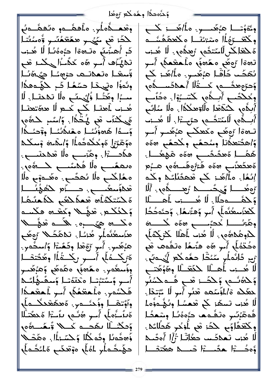وثعمله أولم وأفقُله وتفقَلون لْكُمْ مْيْ مِّيْبِ هِمُقْمُلُبٍ وُّمِمُلُدًا كَمْ أُهِنَّهَمْ دَلَّىٰ مَنْ اللَّهُ مَنْ اللَّهُ هَٰ أَسْتَرَىٰ لْتَكْرَكْ أَسْتَرَاهُ كَامَنَا وَالْمَجَاكَمَةِ مِنْ أَسْتَرَامَكَمَا وَّسِعْدا مْعَمْلْىْتْ جَرْهِمْا جَهْدَهُ لَ وِنُوزًا وَيُهَدَّأُ مَمَّمًا كَهِ لَكُوهَ افْقَهِ مسَرًّا وِهَتُمَا وُٰلَيْمِنَّــع وَلَا تَمْحَنَــا. لَا مُحِنَّ أَهلَا كُلِّي كُلْمَ لَّا هِمَّتَهَلَّا<br>فَيَكْتَبُتْ هُمْ يُخْمُلُ وَاسْتَمْ حَدَّةً مِ وِّـــهُ/ هَموْنُـُــا مشكلُنُــا وِتْحِنْــدًا ەۆقۇرا ەوڭگەشمال ۋامكىنە ۋىىڭك فكافشار. وهُنْف مالا شملحقب. وتعقيب ولأكفئهم بمستقوى هُمَالَكُبُ هَلَّا نُعَصَّبٍ. هَ مُحَمَّهِم هَلَّا قَدْفُمِعَنَـــــــ : مَـــــــزُم كَتْمَوُّنُـــــا ەَحْسَنْكُەْلُر مْعَهْدْشَمْ حْكَمْعْشْعَا وَلِمَنْكُمْ. شَوْلًى لَهُ وَكَيْفُ هُ عَكْسَمٌ ەكمىدە ھىچىسىزە ، بالأسىم شىئىسلا هزَّمهُنُمارِ هُزْمَا. تَمْهَٰكُمْ رَوْهُم هَبُعُىنِ ۚ إُمِنٍ ۚ أَوَّهَا ۚ وَكُمُّيْٓا ۚ وَٱستُّونَّىٰ ۚ ةزكله أسر ركشاً اومًحَتْما وَوَّسْعَفُونَ مَكْحَوَّى مَكْحَضَّ وَّحَزُّهُمْسِ أسر وٌمسٌتبْسًا مثنفتا وَمعفَعهُاسُــدَ كَنْتُمْمِ. هَلْمَعْكُمْ أَبِ لْمَعْمَدُا وَأَوْتَكْمَا وَوَّكْسُمْنِ. ةَهْهُشْكَنْدْ عَلَى ەْللَّىشُەلَى أَسىر ھُنُىم للَّىسْتَا كَىحْتَىلْل وَحَكْتَبِلًا بِمُحْسَبِهِ كَمِيلًا وَّبِمُسَبِّهُونَ ؤُهجُماْ وِجُمِيْكُلا وُلِكْمُبْذَلَا. وَهُجْلًا حكْمشُـهلُر لمُمَلَّد وَتَعكَـــح مَّلْمُشْــمَلَّذ

وثَقَوُسًا هَزَهُمْسِي. هِأَاهُمْ زَكْنَبَ ولمُقَدِّؤُلًا مِنْتِنْسًا مِكْعِفَعُنْد هَ حَقَاحَكَى لَاسُتَدُّهِ ۚ رُهِدُّهِ ۚ. لَا هُــزم تهةا مُوهَدٍ مِعْهُنَى مِلْمُعِيْمِكَى أُسِرِ ىُتْعَصَّى خَاقْسًا هَبُعُسِي. مأَأَهَدَ كَلِّ أَوَّدَى مَدْهُ فَيْ الْمُسَامَّةِ مِنْ الْمَسْلَمَةِ مِنْ الْمَسْلَمَةِ مِنْ الْمَسْلَمَةِ مِنْ الْ وكُلْحُبِ أَسِلُّهِ كُتَسَبُّوْلَ. وَحُدَّبَ أَبِدُّهِ ۖ كَتَمْعَدَا وَلَلْوَهِكُكُا وَالْا سُائَبِ أَبِــدُّهِ لَاسْتَدْے حَيْــۃًا. لَا هُــۃ۔ تـُـەةا رُوهُــم مكعكــم عرُهُـــو أُمــو وَأَهِقَتِهِكُمْلَ وِسُحِعَبٍ وِكُحِعَبٍ 300 هُهُــا هُهضُضُـــ ههُه هُهِعُـــا. كَهْدَهُنَّى مَدَّهُ فَتَرَّوهُ صَرْمَ مَدْمِ إِنْهَا. مِلْأَهَٰ: كُمْ شَعْفُنُكُمْ وِكُمْ وَحْدُ وَحَلَّا. لَا مُصَّنِ لَمِصْ اللَّهُ ؉ٚۿڒؙؠؠڡ*ۮؙڷ*ؠڵۘۘ؋ۅڿٞڡڗٞ**ؠۿ**ٳ؞ٷۭڡؿٛڡڡؙڟؙٳ وهَٰزئــــــــــا كُحبَّـــــــــــــوه كــــــــــوه لْهُوهُهُ وَلَى اللَّهُ مَنْ اللَّهُ الْمَسْلَمِ الْمَرْجَحَةَ الْمَرْجَعَةَ ەكْتْمُلّْي أُمر ھَە فَنْمَا ەلْفُەھ ش رْبِعِ كَانُمامُ مَنْتْدا حِفْمَكُمْ ﴾ وَمِنْ رَبِّي لًا هُـــزم ـأَهــُلل حكَفَــُلل ووَهُوُهُتـَــع وَجْدَهُنَّــهِ وَجَكَــۃ هُب فَــه حَسُلُو لحفَكُم ةَالمُؤْمَّدُهُ قَدْسٍ أَسِ لًا مُّتِنْدًا. لًا هُنِ تَسكُنْ ﴾ هُمسًا وِنُؤُءوُها فُەقْبُصُر ەلْڤُـەھ دَبُوەُىُـا وٖىنْـھَـھُـا وِكْقَدْفَاوِّى لِكْدَ مْي لُوْكُر هُدْلَائِكَ. لًا هُنِ تَعَدْدُ حَمْلَتْ أَرْأَلَ أَوْمَـٰهِ أَوْوَدُتْنَ هَدَّتْ وَسَبْكُمْ هَقَنْدْكُمْ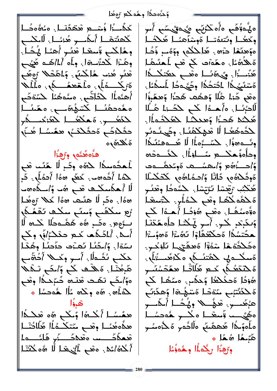كَكُنْوَا وَعْصَــْ هُوَهُمْتَــا . وَيُؤْوَضُــا كْهِنّْتْهَــا أَيْكُسِــو هُزْسُــا. لَّايْكْسِــو وهُلِكُم وَّمِعْدَا قُبُو أُهْدَا هُخُذً. وهُـْزَا كَحَتَنِــةَا. وِلَمَهُ ٱلْمَاهَــهِ هَيُب هْنُرٍ هُـٰٓ; هُٰالَّكُنَّعُ. وُٰاهُشَا ۚ وَٰهَمْ كەلماكە . بى*ڭىشىمىكىلى . مالما*ك أَهْتُماْ الْحُلَاضُ . مِنْمَعُنَا لَكُنْتَحُم ەھەدەُسُــا كْتىۇھَىـــى. ەھَسُــا لْمَنَعُصُبِ. هَ هَكْعُصَا لْمَعْزَيْمِـــدُّمِ حثُكَاتُم هُحثُكْتُمْ همُسُلْ هُـبُّه ەكلاۋ فَأَوهُكُمْ وَرُحِزًا أَحدُّدمدُا لِذَهَ وَثَمِ لَٰا حَمَّدَ شَع لِّكُمَا أَثْدُهُ مِنْ رَبِّكُمْ وَوَا أَصَفَلُ فَيَ لَّا أَحكَمْمَكْـتْ شَبْ شَ- وَّاسْكُوهْ-ههُا. وكَرِ لَا هِنَيْتِ هِهُا كَتَلا رُوهُنَا رُهِ سَلَافَبٍ وَسَلَّى سَلَاكَ نَقْفُلُهِ) بِجُومٍ. وَضَرِ هُوَ هُقُومُلًا كَنْ لَا أَسِدْ. أَلْمَكْلُمْ كُنْعْ حَكْثَرُافُي وِكْمْ بِسَّةًا. وَٱحْتُلَا تَحِبْوَ جَرَْجِبًا وَهُجَا حكْبِ نُشْمِلًا. أُسِرِ وِكَــلا أَخُذْسِ هُرِهُتُما. هَـلاًـ هَـلاًـ مِّ إِسْمَـمِ نَـلْمَلَا ەۆككى تۆت ھىشى كىزدىدا وقى كَهْلُرْ». رؤه وتَكْرَه عُلَّا هُوَجِسًا \* <u>شهٔ ا</u> همَسُــا أَحْــدَا وَجِحْبِ وَهِ هَـحَــدَا هدُّەهُـُــا وقب مِّتكْــهُـاُا هَلَاكْتْــا أَخْذُهُ مَنْ أَ الْمُحْرَبَالَهُ - مَنْ مَدْأَهْمَدُ أَ بدأ بشريخصره بزبخةهأه بيفافيه وكعك وتتنفشا ةوشأهئا هكخا هِ وَهُمُهَا حَرْهِ. هَا لِكُلُمْ وَوِّهُ بِ وَّكُلُّ هُ اللَّهُمُّا. مِعْدَآت كُمْ ثَبِي لَمِسُمُّا هَنَمْــُزَا. فَيْ\$َسَــا هڤمــم معَنْنُكــدًا هَتْنَبُوهُمْ الْمُتَحَمَّا وَجَهُدَهُ لَمُحَمَّدًا. وقَعِ حُزِلَ هُلَّا وُهِعُفٍ هُجُرًا وَهِمْرُوا لَّادِيُـُـا. وأَحْدُا كُبِ كَذَبَا هُـلًا هَكُمْ هُدَٰۥٗا وَمحكُما لِكَلاَدُءلُالِ. لمَدْمَعُمُا لَا مْهِكْمُنُا. وِكَيشُمْسُ وِنُــدهووُّا. كَمَّنْــرُه)اْ لَا هُـــدهنْدُا وداُهزَّ هنْدس مِّتْلوداً! . لِكَنْسُودُه وَأَحِسْتُرْهُمْ وَٱسْعَسْمِي هُوِيَكِمُسْتِمْعَةِ هُوِثَكْلُهُمْ دُلْتًا وُاصْفُاهُمْ كَتَكَسُّلُا هَكْبُ رَقِيْمَا يُوَيْمَا. كِنُوجًا وِهْبُ هَ حَقَّه حُهُا وِمْعٍ حَدُبُرٍ. حَبَّىهَا ەۋەممْقُا. ەقى ھُوَصًا أَحِيَّا كَلِّ وَبِكَبِيْدِ كُنْبِ أَسْرِ فَيَحْدَا جَلَّهِ هَدْيَا ا هَدَّسْدًا هَحَكْقَدْقَاوْا نَهُ تْرَا هَوْ حَرَّا ەكْݣْتْھْا سْمُوْٓا ەْھھْتِيْ) ئارنگىر. ەسگىم بىرلىنىشىگە مكرمَسىئىگە . ەَ كَتَعْكُمْ كُــع هُلَّاتْـا مْمُتَسُنَـب هُوَدًا هُحِكْكُمْ وَحِكْسٍ. مِمْعُما كَبِ هَ لِكَنُتَنِى مَّتَوْسًا هَتَنَهُـْهَا وَهَذَابٌ هُبِقَعَسِبٍ. تَعَهُّسُما وَيُحُسَّلُ أَمَكَّسِبِ وَهَيْ مِنْ وَمُنْ أَمْ الْأَسْرِ حُوصِمًا ەلمُەوَّىدًا ھُھھَىلُ ەلَّاخُەر ەَـدەمىُــو هَ مُهْلِمُ اللهُ مُ وَرَجْدًا رِكْدِمًا وِحْدَوْمًا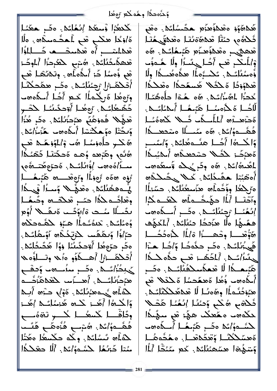لْحَمَٰدُ ۚ وَسَعَدَ إِنْمُائِدَ . وَفَ حَمَّنَا ەُ/ۈكل ھىكىم شَم لْمصَّــەمىدەن ەلل قَعَطِمْبِ أَو قَعَصَدَ مِ كَالِمُوْا هَتَعَكَّمَتُنَائِكَ. هُتَبِ لِكَفَّرِدَٰۥ ٱلْمُوَحَّـٰۥ هُم ؤُهِمُا كُمْ أُمْلُهِ أَلهِ وِلْلاَنْعَا هُم أَتَـٰلاَمُـٰٓ وَٰٓائِـُدَا وَكُـٰٓ مِنْ مَحْمَـٰكُنَّـا ورُوهُا هُرِيْكُماْ كُـْعِ أَكُـا أَــكُوهب كَشَمْلائِكْ. رُومُنا أُوْحِكْتُنَا كَحْب َع*َـوْجُـلا*َ قَـٰهِوَمُـ*نُ* مِنۡحَـٰٓرُىٰٓلَـُكُمۡۦ مَحۡرٖ مُّذَا وَبِدَٰتَا هِوَجِعَدْتِنَا أَجْلُهِ وَمِن جَنَّوْءُ/مُكِن رَهُ كَــرٍ حالُومُــا رَهُــ وْالْمُوْمَـّـهُ هُــع رَهُ نُمْ وَهُرَهُمْ وَهُمْ وَهُجَدْنَا كَتْعَبُّدُا مسألمُهوهم إذُائلُكُمْ. هُجرُوهُنْدِيُهُور رُوْه «ەَه ژُومْاً! وِرُوشـــــــــه هُبُــمُـــــا لْصَحْعَمُلْكُمْ. وَهُنْيُ لَا وَمِنْ لَا فَيَ الْمَالِمِينَ وهْلِكُــه لِكُلّا حَيْـرٍ هُلِكْـــرِهِ وِحُـمُــا ىئىسلا مىلى ۋارۇئىپ ۋىڭىلا /ۇھ وُه،ائكر. تَعْمُدُه الله عَزْفِ لِلصَّدِدِهِ دَ}اوُّا وُبِـهُفَـب لِكَوْتِـكُـلُاه أَوُبِـهَائِـكِ. ەكْر حرِّەھُا أُوْحِكْىنُا وَوُا هُحُىحُابُكا. أُقَكِّكُ زُرَا أَهْكُوْوِ وَأَحِدَ وِتَسَاؤُهِ بِدَ جُبِدُّأْأَسَّلَ ، وَجَبِ مِبْرُكِ وَجَدَّبَ هرُدُرُبُكُمْ. أُهكُوب لِكَعْلاهُدُفُت لَكَمَلُهُ يُحْمَدُ مِنْ أَوْلَى حَنْزَهِ أَبِيدًا وَالْحَدْهَ الْهَمَـزِ كَمْدَه هَٰزَمْنَائَـهِ إِهْمَـز وِدَٰاقْـــا كْـىعْـــا كْــــو تقەُــــى فُقُــهۥؙۭ/ْكُمْ. هُـْبْبٍ فُنُّوهُــمِ فَنُــد لِكُمُاه سُمُلَّكُل وَلَكَ حَكْمِعُل مَعْتُل مُثل حَرْبُهُا ۖ حَشَـهِ}ِّبُمْ. أَلَّا حَعْجَـٰهُا

هُدْهُوُوْ وَهُدُوْهُدُهِ هَشَيْئَاتُهُ: وَهُم ثَلاهُ مِنْلًا شَلاهُۃىٰنَا مِعْلاَقُ هُنَا هُعِمِي وَهُدُوُهِ وَمُ هُدُمُكُمْ. ٥٥ وْاٰ مِنْهَا وَالْمَسْرِ الْمَسْرَاطِ وَالْمَسْتَوْفَ وْْدِمْنُلْسَّلْا. مُكْسِرُدْلَا هِدْدَهْشْمَا وِلَا هْدُوۡوَٰدٗا هَٰ حَثَمٗ هُسمُحِدٗا هِ مَحِــٰدُا لُحدُ المَّازُكُمْ. هُو هُـوْا حِلُوهُمْا لَّاحُط هَجْومِمُط هَُمِعُط أَحِمْلاَ ج وْحْزَمِيْتُرْهِ أَبْلِكُتْ هُبِ لَا لَلْهِ وَيُسْلِ قُفْ وَأَمَّهْ. وَه مَّمَا وَسْعَعْدَهُ أَوَّا كُـْ هَٰا أَحْـَـا هِنْـوْهَائِي وَامِنَيب أَهْمَرُكُمْ لِمُثَلا حِسْمَعِيْهِ أَلِمَيْلِمَا لمَعْدهُ/مُمْ: 60 وضَرِ يُحِكْمِ وَمُعظَمِهِ هَ ُلِكْتُلُ وِوَّدُه أَنَّهُ هُذَهَ مَعْنُدُكُمْ . حَمَّذَاُ وَاْتِسْا أَلَمَا حَهُنْدُوهُ حَقَّدِهِ إِلَيْهِ إِنْهُنْــا رْجِئْنُائْـــدْ. وَكَـــرِ أَــــدُوهـ همَّىجُا ولًا مِزَدِّدًا دِيْنُاسُد. ٱلْمُكَمِّد هَٰؤُهْكِ وِجْعِبُ أَنْ وَاٰ مُا الْأَوْدُكُ ا فَيْ زُلائِكَ. وَضَرِ حَذَّوَجًا وَأَحَا هَـٰٓزَا لِمُسْرَاسُكِ، ٱلْمَحَصَّةِ شَبِ حِكْمِدَالْمُسْرِ [هَبُعِجُا لَا شَعِكْمُحْفُلَكُمْ. ٥ضُبِ أَىكُوهم ؤُهُل هُعفَجِسًا هَكْتُلا هُم |مرِّوْدُنُـْم|ُا وِهَٰٯْـُـا لُا مْحِمْحُـحْـكْتُابُـكِّ. أَثَلاَهُم هُكُم وَّحْتُنَا إِنْعُنَا هَٰدَلًا ۖ لمَكْدُه مُعْتَدَ هُمْ: شَمْ سَهْنَكُمْ للنَسْمَوُاْمُهُ وَضَرِ هَٰٓبُهُمَا أَسْلَمُوهَا |ەھسّىلگىّــا ۆقىئىھتــا. مىھُدەئــا وَْسَجُرْهَ | مِسْعِمُنُائِكَمْ. كُم سَمُنْتُوا أَلَمُّا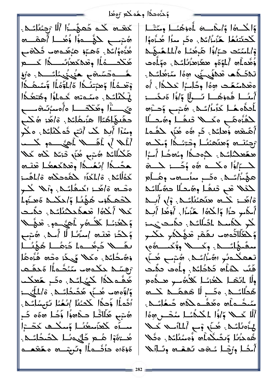كَعْدِ مَلَّاءٍ حَمِيَّتُوا ٱلْلهِ رَجِئْتُلْسُمْ. هُترِمِ لِلْأَصَوٰرُا وُهُـــا أُهقَـــه هُذُهوُا مُدْ . هُهيَوْ هرُهُـده د شُلْاهْب هَنْكُمْ وَالْمَالِ وِهْكُمْكُمْ وَالْمَسْلَمُ الْكُسْلُمُ لَا يَكْسَمُو مَّ عَسَمَاسُ مِنْ مَسْتَهْتِ مِنْ مَثْقَامِينَ مِنْ مِنْ مَثْقَامِينَ مِنْ مِنْ مَثْقَامِينَ مِنْ وْتَعِــدُاْ وَحِبَّتِـنُــدًا هَ/اوَّدُاْ وَّٰمِّىكُمْ أَ لْمَكْلَئَـٰمْ. مَمْـٰهَـْتُمْ خُـْمَلُوْا وِهَّتْعُـٰدَاْ ىِّ أَلَّ وِهَكْذَــا ه أُهمزُنَـدَهْ حفَىهُاهُمُال هزَّىعُامُك ، هُ/هُ: ﴿ كُبِّ وِسُنْا أَبِهِ كُمَّا أَتَتَمْ ثَمَكْنُائِكَا. مِكْر أَمْلاً أَوَ أَهْلِ الْمَعْيُنِ وَ كُنْسَمَدٍ هَكْمُلَائِكَ هُـْبَ هُنَّى خَبْكَهُ كَلَّهَ كَـلا حدَّماً إنْعُماً وقَعْدَهِمْ قَتْ ِّحْمُلْكُمْ. هُ/لِكُرُّ، حُجُّوجِكُمْ هُ/لُفَج ەئىدە ۋاھْد ئېگىگائىد. وأىلا كىر للتَعبِكَوْبِ هُجُبُنَا وَالْكُنْبِينَ هُجَنُومًا كْلا أَكْثَا شْعِكْدْكْتْلْتْكْ. بْكْتْ وَحِمْدَتُ لَمْحُمْدٍ الْعَيْدِهِ. مَوْجُمْ وَجَحْكُمْ هُنْتُ إِسْتُمَا لَا أَسْمَ. هُبْب ىفّْىلا خْرْشْىــەلم خْزْهْـــا ھُوْنُـــا وَهُ حُلْمٌ . هَ مَلا يَهِ هُوَ هُوَ هُوَ هُوَ هُوَ اللَّهُ عَلَيْهِ مِنْهُمْ الْمَرْضَ توسّك مكّده مسَنُدْه ألا مُدَهَّد هَدْ عِلْمًا لَحْيُلِيَكْ. وَحُـ هَعكْب وَّاوَّه¤ هُـــَيْ هَـصَّحُاسُــه. ةَالمَلِّي ٱثۡعاٰۤا وۡحِدٗا ۖ ﻜٚۡحَنُنَا ۗ إِنۡـٰهُمَّا نَّوۡصُلَائِـدَ. هُنْبِي هَٰلَاتْل حـدُهوُّا وَّحُـا ههُه ضَرِ مسأه كَعَنّْمِعْتُما وَمِكْدِ كَدَّعْ هُتِوْمُوْا هُــمِ كَايُحِبُ لِحَمْدُائِــمْ. كَوْكَاه حَارَّكُـــْمَالُمْ وِنُرِيْبَــْـهِ ۚ مَكْتُـمَــْـْتَ

وَالْحَدْهُمْ وَٱمْشَدَدَهُ لِمُوْهُمُهَا وِمَتْنَا ِكْحِتَنِتُهُا هَٰٓئُوٰٓءُاتُمْ. وَكُنْ مِعْلًا هُـَّوَوُّا وْالْمَمْكَتْ حَزَّاوُّا هَٰبِعُنَا وَٱلْمَلْمُجَكَّ وُهُدءلُه ٱلمُوَّة و هعَذهدُنُلُكُمْ. وَوُلُمُت تَكْتُكُمُ تَعْكَفُيْتُ وَوَٰٓا مُنْزَهُٰكُمْ . ەقىممَمَّد ھۇا وِدَّاسْرَا تْعَكْدًا. أُه أُمنُــا هُـوهُـــا نُـــولَا وَإِوْۤا هَـنُــــز لِمَحْدُهُ هُــا كَنُبِرُكُــدْ. هُـثِبِ وَحَــْتِهِ | كَفُنُوهُـــ وكَــــلا قَىفُــاً وِهُـتـــُلا أَهُبِعْدِهِ وُهِلِيُمْ. ثُمّ هُو هُنِّي لِهِشَاء تَرْجِئْنَــْدَ وَجَعَفْنُـا وِجْتَـٰٰٓهَا وَجْـُـُدَد همُعدْلَتُهِ. حُوصِهُ! وِمُوصَلِ أَسْرًا كمسرًاوْا هكْسُه ، هُو وُجَّسة كمسرة ههُمُزُائِكُمْ. وَضَع مِعاُكِمَ وَهُكُلُو لحْفَلا شَمْ دْمَقْا وْهَمْتْلَا حَدَّىلْلنَّمْ ة/هُـــز كَـــره هنَعْنُلْتُــدْ. وْ/ أَبِــدْ أَمِكْسٍ حِزًا وَالْحَدَّةُ! هَٰٓئُنُوا فَيَ أَوْهُدَا أَبِيهِ لُحْرِ لِلْأَسِيمِ لِمُثَلَّلُكُمْ. فَقَسْفَ يَهْدَ وَحْفَكَلاَتُوهِ مَفْقَعٍ هُؤُخِذُرٍ حَكْسِرٍ معفَّمْ أَسْــدْ. وكَـــدْ وتُكَـــــرَةُ مِ تَعْمَدُوبُو اهُنُّائُكُمْ. هُبْتِ هُنَّى كُنَّب لِكُمْلُهِ كَلاَحُلْتُلا. وِلْمُوت فِلَمْت وِلًا لمَتَعْلِ لِحَقَّنَا لَمَحَقَّدِ مِحْدُومِ هَطُلبُهِ. وضَبِ لَا هُعِفُهِ لَا مِ مَمْدُےلُم ہوَ مُعَدُّے حَدُوہ حُمْلَائِے۔ ٱلْأَكْمِلاَ وَٱوْۤا لِمُكَمُّمُهُ لِمُحْسِنِ وَوَٰا |}خُوبُلسَّك، هُــَوْ، وَسِي ٱلْمَلَأَسِــلا كَسِـلا |هُمدُٰٓئُل وٖۡىـثَـكُمۡلُرُه ۚ وَ۫منُـئُلۡتُمۡ. ۚ هَٰلًا أَمحُـا وِرُجَّـا مُــۃَت نَعمَـۃ وِنَــالَٰـلا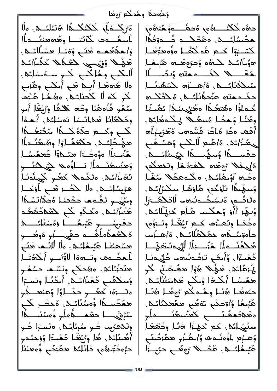وَجَزُّهِجِدًا وِجْهِ كُمْ رَوْهُا

ةَزِكْـــهُـلُم كْكُتْكْــدُا هَنَـُائـــد . هلا أسمُــــــوت كَلائتـــــــــــــــــــــــــومُلائـــــــــومُلا وْاجْكُفْعَــدْ قْنَبْ وُقْتَـا هِمَّىلَلْتَــدْ. تَعَوُّلا بَوْتَى سِي لِمَشْكَلا كَلَمْتُوْكُمْ مَدَّامَةُ مِنْ لَّاحْب وَهَٰاكَب كُلْعِ مْسَوَّسْلَتُه. ولًا هُوَهِ مَدًّا أَبِيهِ مَنْ أَسْلَبِ وِمُنْتِ كُم كُه لًا كُحِبُّائِكَ. 50هُمُّا هُـْرَت مَعْهُرٍ فُزُهِ هُمُا وِدْهِ ۚ يَكْفُلُ وَرُبُغْلُ أُمِرٍ وكَحْجَابُا مْحَالِبُسُا بِّمِسُاسُهِ. أَحْدُا كُم وكُم حَدَّةً كُمَّا مَحَتَّعُكُمَّا هِجَمْحُلِّـُـمْ. حَكْقَدَّـاوْا وِهَعْنُـولُّا هَّزُسزماً ووُوحُــتْ همْــــاوْ كَعمَّــسُـــا وَهزَمععُنَــدادُ تـــاؤُه هـ حيْحِمْنُـــو لَّهُمُزُامُّه، ەنىئُـمالا كَعْسِر كَجِيشَاكْمَ هرًىمُائَـــد. ەلَّا ـحصَّــۃ هَـــع ـأَوْحُـــا ومَّهْبِ لَقْـه عَـدْمَـٰلِ هَٰحَمَّاتَـٰدُا ا هَٰڹُۥۢۢٱئُـٰہٗ. ہنۡـٰٓٱوٖ ۚ لَٰٰٰٓٓٓ ٖ لَمۡقَادَہُهُشَـٰهُ حفَیْٹ پر هَبُعُصَلْ وَمُسُلَّدُ ہے<br>ہُکعَمکاماُفُے حقّی ِ بُر ہُومُک ک همّعنُـل هُبُـمُلَـُـد. ولَا لَانُـم هَبُ ھلَدُ;ُۦُڵػ؞۞ۿؘڂػٚؠ؋ڷۺ۠ڡۦڂۺؙڡ۠ڔ وَسكْفَبِ كَعُنْاُسُّكَ. أَمكُنَّا وِتَسَبَّا ەتسىزە كېيىس جىگىلۇا ۋېئى همَّكَسِيرًا وُّەسُبُلْسُي. ەَجْشَع كَبِي لْمُبْوَيْنِ لِمَسْتَحْمَدِ الْمُؤْمِنَاتِ وَالْمَسْتَدَارَ وِلْكَافِكِينَ جُبِ مُنْزِئَلِكُمْ. وَلَسْتَرَا جُبِ أَهُـىلُكُمْ. هُا وَرُيُقْـا كَـمَّــٰٓ;ا وَفِـحْـُـٰمِر حَبُّوحُتُمِدُّومٍ ۖ كَا*لْ*أَمَّدُ مَعَّزَكُمٍ ۖ ؤُوهنُ*نُ*ا

حدُّه لَكْتُــــدُّه و هُحفُــــو ُهُتَدَةٌ و م هَحُسُلْتُـــدْ. ەھُتْـكـــە خُـــەوْئُدًا كُتْبَرُوْا كُنْ هُوكُنْݣُمَا وَوُومِيُّوْسَا هؤَمَٰزُكُمْ لَحْدَهُه وَجَوَهْدِهِ هَُبُمُمْ هَفْـــالا لِلنَّــــه مِنْهِ وَبِئِهِ لِلْمَـــالِ حنٌــه مثقه هزُحكُمُـُـُـكَ. هَــكثَــُــه تَحْدِمُوْا هِعْتَعُدُمَّا هِ هَيْنَ هُمَا رَجَّدَ يُهَا ومَّتُا وَحَدًا هَيْمَكَلاً لِكُومُائِي. أَقْعَدَ مَكْمٌ مَنْكُمُومَ وَتَعْمَلُوا وَالْمُسَلَّمَةُ لِحَمْنُهُمْ بِمَكْسَلَا مِنْهَاهُ. 1⁄2 مِنْ الْمَعْمَلِ حفســـدُا وَمِيمُـــدُا جَيْمِعُلُّـــدِ. ومكْمحك وتَحْتَفْكُمْ مِحْدَةٍ وَالْمَحْرَاةِ ەتْدە آۇيغانىد. مىھىمكىلا ئىشل وَسمُكُما تَاوَنُدو هَاوَهُا سكُنْزَاهُمْ. ەترئىـــە ەَىـنىڭـــەنىمى لُاتىككَـــز/ وُبِّيٍّ: أَأَوْ وَجِعْنِيتِ هَٰـأَمِ كَـٰزِيْتُلَائِـدَ. وكُحْلِ وِنُعِبْوَتِ كَلِمِ رَبُغْتِيلِ وِبْزُوْي دأەقشىدە بمككمُلكك فاصدُب مَحْدُشُدِهِ الْمَنْسِنِينَ الْمَسْتَمَرِّسَاتِ الْمَسْتَمَرَّسَاتِ الْمَسْتَمَرَّسَاتِ الْمَسْتَمَر كَمُتْ;ا ۚ وَٱمۡضَ لَاتُـٰہِمَا صَلَّى مَالَ لَىٰٓٓ; هَٰلَٰٓءُ ﴾. شَوْيُوا لِهِ وَإِلَّا مَعْلَمَهُمْ لَهُمْ لَكُمْ لَهُمْ وَلَا مِنْهُمْ مَنْ لَ همَسُـا أَكْـهَا وُلّكم هَدَعَنُنَائـُـد. حمَّدهُما هُنُما وِهُدمُكُمْ رُوهُما هُنُا هُبُمُا وَاوْحِكُم تَوْهُم مَعْمَدْائِهِ. ەتىدكىگىڭسىم كىخامىمىگىسىسىملار مسَّيُلِمَّه. كَم تَدِيُّا شَا وِدْعَعْدَا وَّهــرُم الزُّهتُــهِ وَٱلــمُــرُبِ همَّـرَضَكَــمَــ هَبْسُمَائِكُمْ. هُنْسُمْلاً رُوهُبِ دَوْبٍ أَل